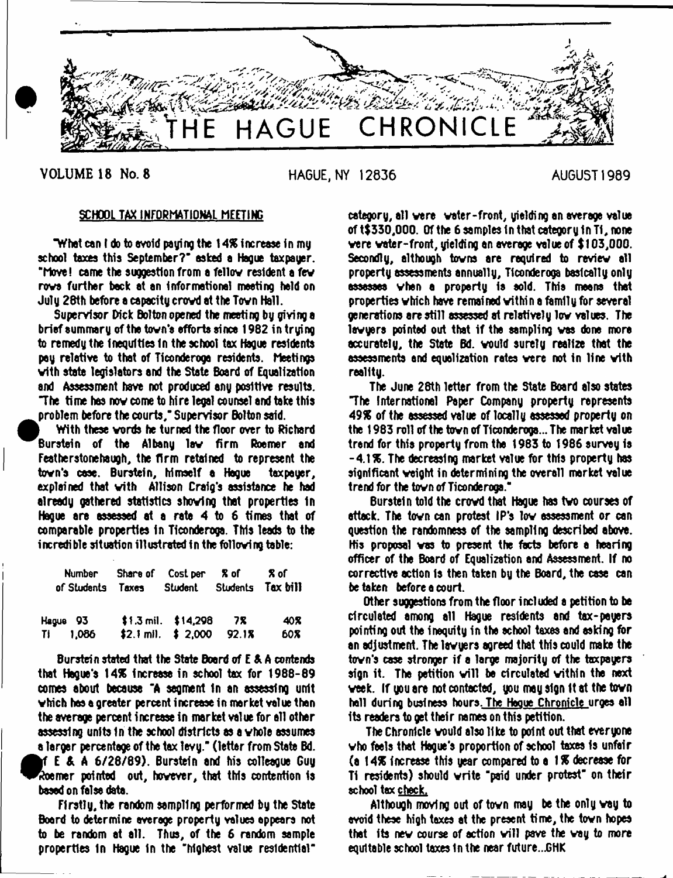

**VOLUME 18 No. 8 HAGUE, NY 12836 AUGUST 1989**

## SCHOOL TAX INFORMATIONAL MEETING

"Whet can ( do to avoid paying the 1*4%* increase in my school taxes this September?" asked a Hague taxpayer, "hove! came the suggestion from a fellov resident a fev rove further beck at an Informational meeting held on July 28th before a capacity crovd at the Tovn Hall.

Supervisor Dick Bolton opened the meeting by giving a brief summary of the tovn'e efforts since 1982 in trying to remedy the Inequities In the school tax Hague residents pay relative to that of Ticonderoga residents, heatings vith state legislators and the State Board of Equalization and Assessment have not produced any positive results. "The time has nov come to hire legal counsel and take this problem before the courts," Supervisor Bolton said.

 $\bullet$ i With these vords he turned the floor over to Richard Burstein of the Albany lav firm Roemer and Featherstonehaugh, the firm retained to represent the tovn's case. Burstein, himself a Hague taxpayer, explained that with Allison Craig's assistance he had already gathered statistics shoving that properties In Hogue are assessed at a rata 4 to 6 times that of comparable properties In Ticonderoga. This leads to the incredible situation illustrated in the folloving table:

| of Students Taxes Student Students Tax bill | Number Share of Cost per % of                       | <b>R</b> of        |
|---------------------------------------------|-----------------------------------------------------|--------------------|
| Hague 93<br>TI 1,086                        | \$1.3 mil. \$14,298 7%<br>\$2.1 mil. $$2,000$ 92.1% | 40 <b>X</b><br>60% |

Burstein stated that the State Board of E & A contends that Hague's *\4%* increase in school tax for 1988-89 comes about because "A segment In an assessing unit vhich has a greater percent increase in market value than the average percent increase in market value for all other assessing units In the school districts as a vhole assumes a larger percentage of the tax levy." (letter from State Bd. **e** If E & A 6/28/89). Burstein and his colleague Guy Roemer pointed out, hovever, that this contention Is based on false data.

Firstly, the random sampling performed by the State Board to determine average property values appears not to be random at all. Thus, of the 6 random sample properties In Hague In the "highest value residential"

category, all vere voter-front, yielding an average value of t\$330,000. Of the 6 samples in that category in TI, none vere vater-front, yielding an average value of \$103,000. Secondly, although tovns are required to reviev all property assessments annually, Tlconderogs basically only assesses vhen a property Is sold. This means that properties vhich have remained vithin a family for several generations are still assessed at relatively lev values. The lawyers pointed out that if the sampling was done more accurately, the State Bd. vould surely realize that the assessments and equalization rates vere not in line vith reality.

The June 28th letter from the State Board also states "The International Paper Company property represents *49%* of the assessed value of locally assessed property on the 1983 roll of the tovn of Ticonderoga... The market value trend for this property from the 1983 to 1986 survey Is -4.1%. The decreasing market value for this property has significant veight in determining the overall market value trend for the tovn of Ticonderoga."

Burstein told the crovd that Hague has tvo courses of attack. The tovn can protest IP's lov assessment or can question the randomness of the sampling described above. His proposal vas to present the facts before a hearing officer of the Board of Equalization and Assessment. If no corrective action Is then taken by the Board, the case can betaken before a court.

Other suggestions from the floor included s petition to be circulated among all Hague residents and tax-payers pointing out the inequity in the school taxes and asking for an adjustment. The lavyers agreed that this could make the tovn's case stronger if a large majority of the taxpayers sign it. The petition will be circulated within the next veek. If you are not contacted, you may sign It at the tovn hell during business hours. The Hague Chronicle urges all its readers to get their names on this petition.

The Chronicle vould also like to point out that everyone vho feels that Hague's proportion of school taxes Is unfair (a 14% increase this year compared to a 1 % decrease for Ti residents) should vrite "paid under protest' on their school tax check.

Although moving out of tovn may be the only vay to avoid these high taxes at the present time, the tovn hopes that its new course of action will pave the way to more equitable school taxes 1n the near future...GHK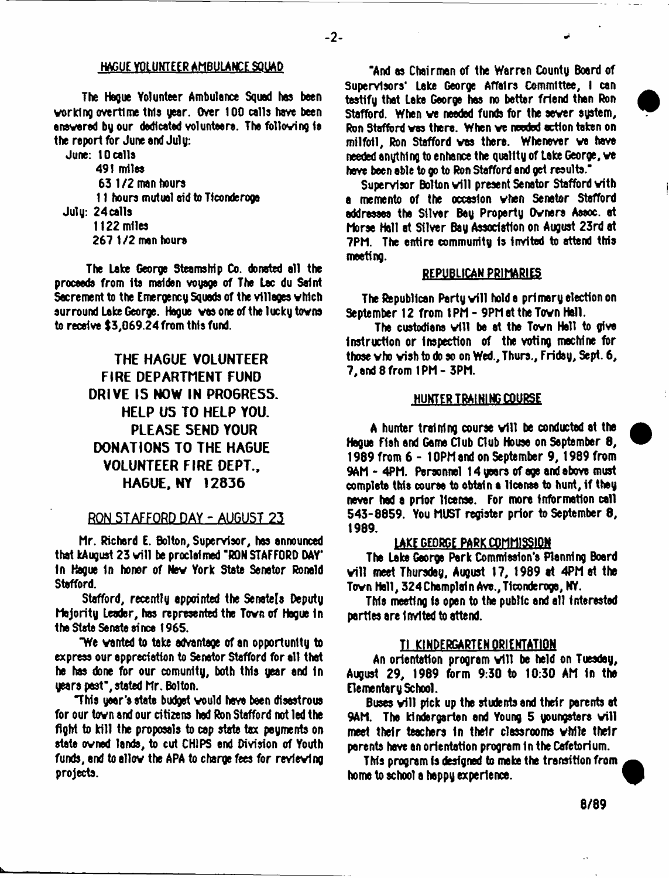$-2-$ 

## HAGUE VOLUNTEER AMBULANCE SQUAD

The Heoue Yolunteer Ambulance Squad has been working overtime thla year. Over 100 calls have been answered by our dedicated volunteers. The following is the report for June and July:

June: 10 calls 491 miles 63 1/2 man hours 11 hours mutual aid to Ticonderoga July: 24ca11s 1122 miles 267 1/2 men hours

The lake George Steamship Co. donated all the proceeds from Its maiden voyage of The Lac du Saint Sacrement to the Emergency Squads of the villages vhich surround Lake George. Hague was one of the lucky towns to receive \$3,069.24 from this fund.

# **THE HAGUE VOLUNTEER FIRE DEPARTMENT FUND DRIVE IS NOW IN PR06RE55. HELP US TO HELP YOU. PLEASE SEND YOUR DONATIONS TO THE HAGUE VOLUNTEER FIRE DEPT., HAGUE, NY 12836**

## **BON STAFFORD DAY - AUGUST 23**

Mr. Richerd E. Bolton, Supervisor, hes announced that kAugust 23 will be proclaimed "RON STAFFORD DAY" In Hague In honor of Nev York State Senator Ronald Stafford.

Stafford, recently appointed the Senate[s Deputy Majority Leader, has represented the Tovn of Hague in the State Senate ei nee 1965.

"We vented to take advantage of an opportunity to express our appreciation to Senator Stafford for all that he has done for our comunity, both this year and in years past", stated Mr. Bolton.

'This year's state budget vould have been disastrous for our tovn and our citizens had Ron Stafford not led the fight to kill the proposals to cap stste tax payments on state ovned lands, to cut CHIPS end Division of Youth funds, end to allov the APA to charge fees for revievtng projects.

"And as Chairmen of the Warren County Board of Supervisors\* Lake George Affairs Committee, I can testify that Lake George hes no better friend then Ron Stafford. When we needed funds for the sewer system, Ron Stafford vas there. When ve needed action taken on milfoil, Ron Stafford vas there. Whenever ve have needed anything to enhance the quality of Lake George, ve have been able to go to Ron Stafford and get results."

Supervisor Bolton will present Senator Stafford with a memento of the occasion vhen Senator Stafford addresses the Silver Bey Property Owners Assoc, et Morse Hall at Silver Bay Association on August 23rd at 7PM. The entire community Is invited to attend this meeting.

### REPUBLICAN PRIMARIES

The Republican Party will hold a primary election on September 12 from 1PM - 9PM at the Town Hall.

The custodians will be at the Town Hell to give instruction or Inspection of the voting machine for those vho vish to do so on Wed., Thurs., Friday, Sept. 6, 7, end 8 from 1PM- 3PM.

#### HUNTER TRAINING COURSE

A hunter training course will be conducted at the Hogue Fish and Game Club Club House on September 8, 1989 from 6 - 10PM and on September 9, 1989 from 9AM - 4PM. Personnel 14 years of age and above must complete this course to obtain a license to hunt, if they never had a prior license. For more information call 543-8859. You MUST register prior to September 8, 1989.

#### LAKE GEORGE PARK COMMISSION

The Lake George Perk Commission's Planning Board v ill meet Thursday, August 17, 1989 at 4PM at tha Tovn Hell, 324 Chomplai n Ave., Ticonderoga, NY.

This meeting is open to tha public and all interested parties are Invited to attend.

### TI KINDERGARTEN ORIENTATION

An orientation program will be held on Tuesday, August 29, 1989 form 9:30 to 10:30 AM in the Elementary School.

Buses will pick up the students and their parents at 9AM. The kindergarten and Young 5 youngsters will meet their teachers In their classrooms vhile their parents hove an orientation program in the Cafetorium.

This program is designed to make the transition from home to school a happy experience.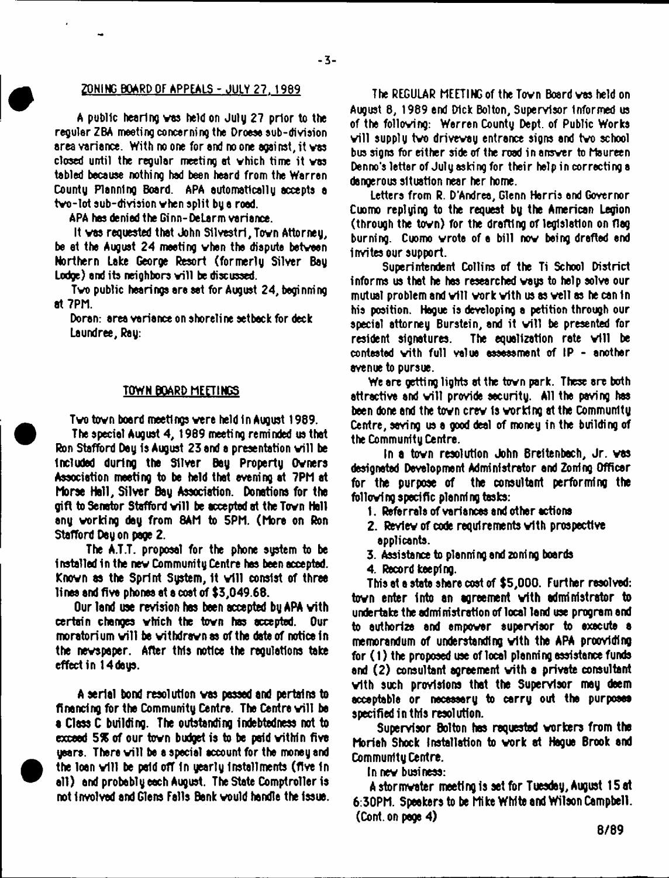## **ZONING BOARD OF APPEALS - JULY 27. 1969**

A public hearing vas held on July 27 prior to the regular ZBA meeting concerning the Droese sub-division area variance. With no one for and no one against, it vas closed until the regular meeting at vhich time it vas tabled because nothing had been heard from the Warren County Planning Board. APA automatically accepts a tvo-lot sub-division vhen split by a rood.

APA has denied the Ginn-Delarm variance.

It vas requested that John S11vestri,Tovn Attorney, be at the August 24 meeting vhen the dispute betveen Northern Lake George Resort (formerly Silver Bay Lodge) and its neighbors will be discussed.

Tvo public hearings are set for August 24, beginning at 7PM.

Doran: area variance on shoreline setback for deck Laundree, Ray:

### TOWN BOARD MEETINGS

Tvo tovn board meetings vere held In August 1989. The special August 4, 1989 meeting reminded us that Ron Stafford Day is August 23 and a presentation will be Included during the Silver Bey Property Ovnera Association meeting to be held that evening at 7PM at Morse Hall, Silver Bay Association. Donations for the gift to Senator Stafford will be accepted at the Town Hell any vorking day from 8AM to 5PM. (More on Ron Stafford Day on page 2.

The A.T.T. proposal for the phone system to be installed in the nev Community Centre has been accepted. Known as the Sprint System, it will consist of three linea and five phones at a cost of \$3,049.68.

Our land use revision hes been accepted by APA vith certain changes vhich the tovn has accepted. Our moratorium will be withdrawn as of the date of notice in the nevspeper. After this notice the regulations take effectin 14 days.

A serial bond resolution vas passed and pertains to financing for the Community Centre. The Centre will be a Class C building. The outstanding indebtedness not to exceed 5% of our tovn budget is to be paid vithin five years. There will be a special account for the money and the loan will be paid off in yearly installments (five in all) and probably each August. The State Comptroller is not involved end Glens Fells Bank vould handle the issue.

The REGULAR MEETING of the Tovn Board ves held on August 8, 1989 end Dick Bolton, Supervisor informed us of tha folloving: Werren County Dept, of Public Works will supply two drivewsy entrance signs and two school. bus signs for either side of the road in ansver to Maureen Denno's letter of July asking for their help in correcting e dangerous situation near her home.

Letters from R. D'Andree, Glenn Harris end Governor Cuomo replying to the request by the American Legion (through the tovn) for the drafting of legislation on flag burning. Cuomo vrote of a bill nov being drafted end invites our support.

Superintendent Collins of the Ti School District informs us that he has researched vays to help solve our mutual problem and will work with us as well as he can in his position. Hague is developing a petition through our special attorney Burstein, and it will be presented for resident signatures. The equalization rate will be contested vith full value assessment of IP - another avenue to pursue.

We are getting lights at the tovn park. These are both attractive and will provide security. All the paving has been done and the town crew is working at the Community. Centre, seving us a good deal of money in the building of the Community Centre.

In a tovn resolution John Breftenbech, Jr. vas designated Development Administrator and Zoning Officer for tha purpose of the consultant performing the follovfng specific planning tasks:

- 1. Referrals of variances and other actions
- 2. Reviev of code requirements vith prospective applicants.
- 3. Assistance to planning and zoning boards
- 4. Record keeping.

This at a state share cost of \$5,000. Further resolved: tovn enter Into an agreement vith administrator to undertake the administration of local land use program and to authorize and empover supervisor to execute a memorandum of understanding vith tha APA proovldlng for (1) the proposed use of local planning assistance funds and (2) consultant agreement vith a private consultant vith such provisions that the Supervisor may deem acceptable or necessary to carry out tha purposes specified in this resolution.

Supervisor Bolton has requested vorkers from the Moriah Shock Installation to vork at Hague Brook and Community Centre.

In nev business:

Astormvster meeting Is set for Tuesday, August 15 at 6:30PM. Speakers to be Mike White and Wilson Campbell. (Cont.on pege 4)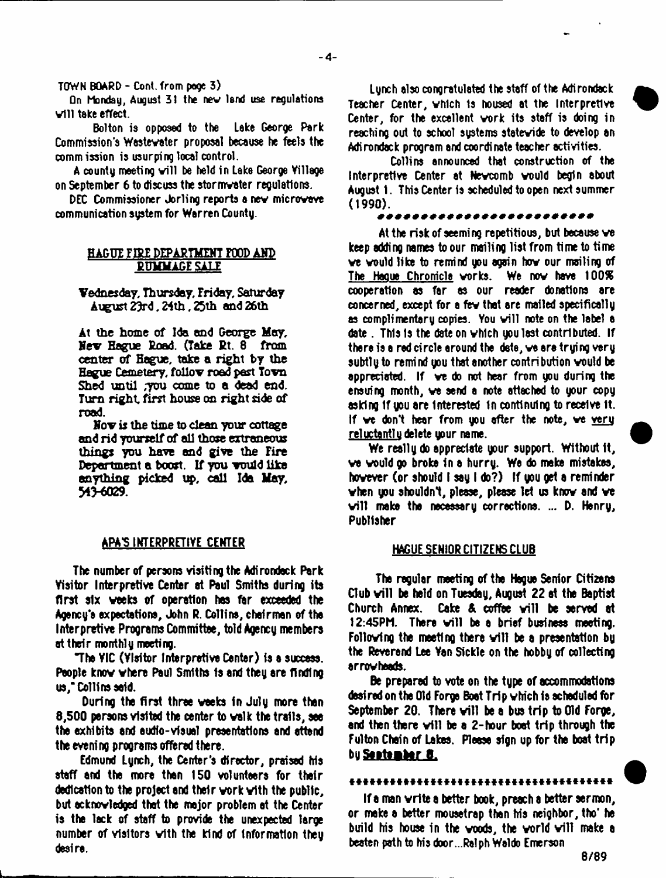TOWN BOARD - Cont. from page 3)

**On Monday, August 31 the nev land use regulations** v ill take effect.

Bolton is opposed to the Lake George Park Commission's Westevater proposal because he feels the commission is usurping local control.

A county meeting will be held in Lake George Village on September 6 to discuss the stormvater regulations.

DEC Commissioner Jorling reports a nev microvave communication sustem for Warren County.

#### HAGUI FIRE DEPARTMENT FOOD AND **PUMMAGE SALE**

Vednesday, Thursday, Friday, Saturday August 23rd, 24th, 23th and 26th

At the home of Ida and George May. Nev Hague Road. (Take Rt. 8 from center of Hague, take a right by the Hague Cemetery, follow road pest Tovn Shed until ,you come to a dead end. Turn right first house on right side of road.

Nov is the time to clean your cottage and rid yourself of all those extraneous things you have and give the Fire Department a boost. If you vould like anything picked up, call Ida Hay, 343-6029.

### APA5 INTERPRETIVE CENTER

The number of persons visiting the Adirondack Park Visitor Interpretive Center at Paul Smiths during its first six weeks of operation has far exceeded the Agency's expectations, John R. Collins, chairman of the Interpretive Programs Committee, told Agency members at their monthly meeting.

"The VIC (Visitor Interpretive Center) is a success. People knov vhere Paul Smiths 1s end they ere finding us," Collins said.

During the first three weeks in July more then 8,500 persons visited the center to valk the trails, see the exhibits end eudlo-visuel presentations end attend the evening programs offered there.

Edmund Lynch, the Center's director, praised his staff end the more then 150 volunteers for their dedication to the project end their vork vith the public, but acknowledged that the major problem at the Center is the lack of staff to provide the unexpected large number of visitors vith the kind of Information they desire.

Lynch also congratulated the staff of the Adirondack Teacher Center, vhich 1s housed at the Interpretive Center, for the excellent vork its staff is doing in reaching out to school systems statewide to develop an Adirondack program and coordinate teacher activities.

Collins announced that construction of the Interpretive Center at Nevcomb vould begin ebout August 1. This Center is scheduled to open next summer (1990).

At the risk of seeming repetitious, but because ve keep adding names to our mailing list from time to time ve vould like to remind you again hov our mailing of The Hague Chronicle works. We now have 100% cooperation as far as our reader donations are concerned, except for a few that are mailed specifically as complimentary copies. You will note on the label a date. This is the date on which you last contributed. If there is a red circle around the date, we are truing very subtly to remind you that another contribution would be appreciated. If ve do not hear from you during the ensuing month, ve send a note attached to your copy asking If you are Interested in continuing to receive It. if we don't hear from you after the note, we very reluctantlu delete your name.

We really do appreciate your support. Without It, ve vould go broke in a hurry. Wa do make mistakes, hovever (or should I say I do?) If you get a reminder vhen you shouldn't, please, please let us knov and ve will make the necessary corrections. ... D. Henry, Publisher

#### HAGUE SENIOR CITIZENS CLUB

The regular meeting of the Hague Senior Citizens Club will be held on Tuesday, August 22 at the Baptist Church Annex. Cake & coffee will be served at 12:45PM. There will be a brief business meeting. Following the meeting there will be a presentation by the Reverend Lee Van Sickle on the hobby of collecting arrowheads.

Be prepared to vote on the type of accommodations dasired on the Old Forge Boot Trip which la scheduled for September 20. There will be a bus trip to Old Forge, and then there will be a 2-hour boat trip through the Fulton Chain of Lakes. Please sign up for the boat trip bu Sentember B.

#### 

If a man vrite a better book, preach a better sermon, or make a better mousetrap than his neighbor, tho' he build his house in the woods, the world will make a beaten path to his door ...Ralph Waldo Emerson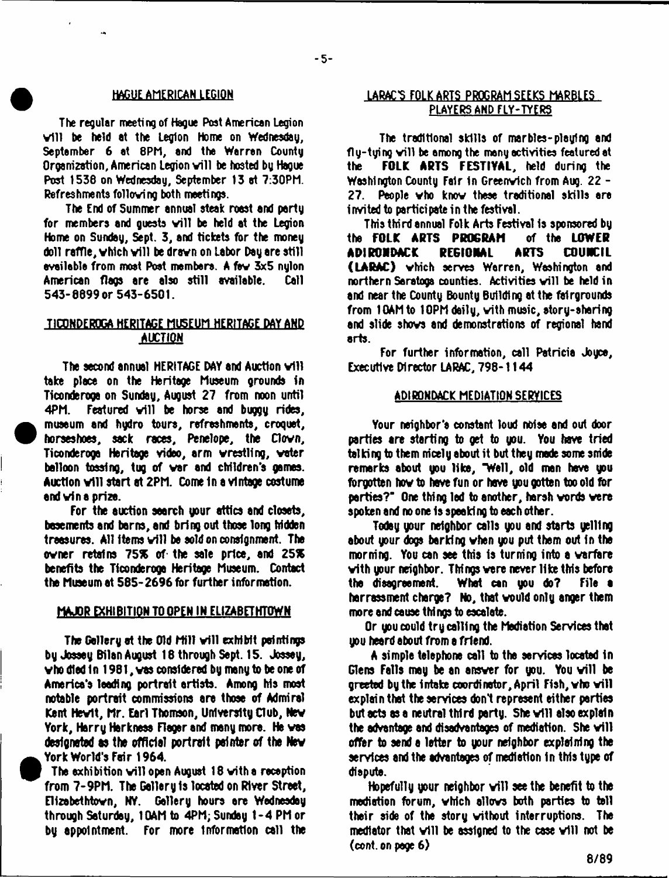$-5-$ 

The regular meeting of Hague Post American Legion will be held at the Legion Home on Wednesday, September 6 at 8PM, and the Warren County Organization, American Legion will be hosted by Haque Post 1538 on Wednesday, September 13 at 7:30PM. Refreshments folloving both meetings.

The End of Summer annual steak roast and party for members and quests will be held at the Legion Home on Sunday, Sept. 3, and tickets for the money doll raffle, which will be drawn on Labor Day are still evailable from most Post members. A few 3x5 nulon American flags are also still available. Call 543-8899 or 543-6501.

## TICONDEROGA HERITAGE MUSEUM HERITAGE DAY AND AUCTION

The second annual HERITAGE DAY and Auction will take place on the Heritage Museum grounds in Ticonderoga on Sunday, August 27 from noon until 4PM. Featured will be horse and buggy rides, museum and hydro tours, refreshments, croquet, horseshoes, sack races, Penelope, the Clovn, Ticonderoga Heritage video, arm vrestling, voter balloon tossing, tug of var and children's games. Auction will start at 2PM. Come in a vintage costume end vin a prize.

For the auction search your attics and closets, basements and barns, and bring out those long hidden treesures. All items will be sold on consignment. The ovner retains 75% of the sale price, and 25% benefits the Ticonderoga Heritage Museum. Contact tha Museum at 585-2696 for further information.

#### MAJOR EXHIBITION TO OPEN IN ELIZABETHTOWN

The Gallery at the Old Mill will exhibit paintings by Jossey Bilan August 18 through Sept. 15. Jbssey, vhodledln 1981, vas considered by many to be one of America's leading portrait artists. Among his most notable portrait commissions are those of Admiral Kant Hevlt, Mr. Earl Thomson, University Club, Nev York, Harry Harknasa Fleger and many more. Ha vas designated as the official portrait painter of the Nev York World's Fair 1964.

The exhibition will open August 18 with a reception from 7-9PM. The Gallery is located on River Street, Elizebethtovn, NY. Gallery hours ore Wednesday through Saturday, 1GAM to 4PM; Sunday 1-4 PM or by appointment. For more information call the

## HAGUE AMERICAN LEGION LA RAC \*5 FOLK ARTS PROGRAM SEEKS MARBLES PLAYERS AND FLY-TYERS

The traditional skills of marbles-pleying and fly-tying will be among the many activities featured at the **FOLK ARTS FESTIVAL,** held during the Washington County Fair In Greenvfch from Aug. 22 - 27. People vho knov these traditional skills are invited to participate in the festival.

This third annual Folk Arts Festival 1s sponsored by the **FOLK ARTS PROGRAM** of the **LOWER ADIRONDACK REGIONAL ARTS COUNCIL (LARAC)** vhich serves Worren, Washington and northern Saratoga counties. Activities will be held in and near the County Bounty Building at the fairgrounds from lOAMto 10PM daily, vith music, story-sharing and slide shovs and demonstrations of regional hand arts.

For further information, call Patricia Joyce, Executive Director LARAC, 798-1144

#### ADIRONDACK MEDIATION SERVICES

Your neighbor's constant loud noise and out door parties are starting to get to you. You have tried talking to them nicely about it but they made some snide remarks about you like, "Well, old man have you fbrgotten hov to have fun or have you gotten too old for parties?" One thing led to another, horsh vords vera spoken and no one Is speaking to each other.

Today your neighbor calls you and starts yelling about your dogs barking vhen you put them out in the morning. You can see this is turning into a varfare vith your neighbor. Things vere never like this before the disagreement. What can you do? File • harrsssment charge? No, that vould only anger them more and cause things to escalate.

Or you could try calling the Mediation Services that you heard about from a friend.

A simple telephone call to the services located tn Glens Falls may be an answer for you. You will be greeted by the intake coordinator, April Fish, who will explain that the services don't represent either parties but acts as a neutral third party. She will also explain the advantage and disadvantages of mediation. She will offer to send a letter to your neighbor explaining the services and the advantages of mediation In this type of dispute.

Hopefully your neighbor will see the benefit to the  $\overline{\phantom{a}}$ mediation forum, vhich allovs both parties to toll their side of the story vithout interruptions. The mediator that will be assigned to the case will not be  $(cont. on root 6)$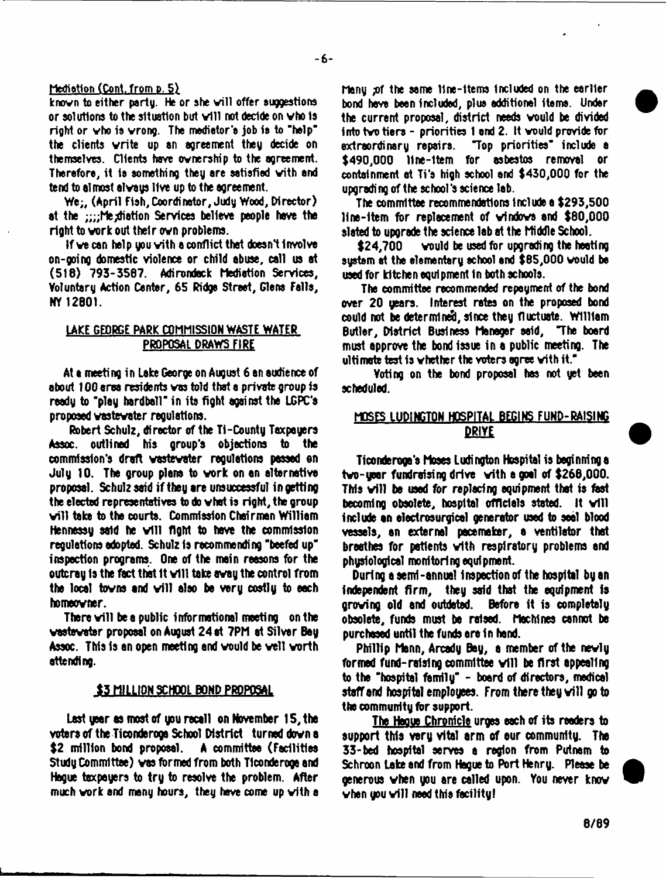#### Mediatlon (Cont. from p. 5)

known to either party. He or she will offer suggestions or solutions to the situation but will not decide on who is right or vho is vrong. The mediator's job is to "help" the clients vrite up sn agreement they decide on themselves. Clients have ownership to the agreement. Therefore, it is something they are satisfied vith and tend to almost always live up to the agreement.

We;, (April Fish,Coordinator, Judy Wood, Director) at the :::;Megliation Services believe people have the right to work out their own problems.

If ve can help you vith a conflict that doesn't Involve on-going domestic violence or child abuse, call us at (518) 793-3567. Adirondack Mediation Services, Voluntary Action Center, 65 Ridge Street, Glens Falls, NY 12801.

## LAKE GEORGE PARK COMMISSION WASTE WATER PROPOSAL DRAWS FIRE

At a meeting in Lake George on August 6 an audience of about 100 area residents vas told that a private group is ready to "play hardball" in its fight against the LGPC'a proposed vastevater regulations.

Robert Schulz, director of the Ti-County Taxpayers Assoc, outlined his group's objections to the commission's draft vastevater regulations passed on July 10. The group plans to vork on an alternative proposal. Schulz said if they are unsuccessful in getting the elected representatives to do vhat is right, the group v ill take to the courts. Commission Chairman William Hennessy said he will fight to have the commission regulations adopted. Schulz Is recommending "beefed up" inspection programs. One of the main reasons for the outcray is the fact that it will take away the control from the local towns and will also be very costly to each homeowner.

There will be a public informational meeting on the vastevater proposal on August 24 at 7PM at Silver Bay Assoc. This Is an open meeting and vould be veil vorth attending.

#### S3 MILLION SCHOOL BOND PROPOSAL

Last year as most of you recall on November 15, the voters of the Ticonderoga School District turned down a \$2 million bond proposal. A committee (facilities Study Committee) vas formed from both Ticonderoga and Hague taxpayers to try to resolve the problem. After much vork and many hours, they have come up vith a

Many jof the aame 11ne-1terns included on the earlier bond have been Included, plus additional items. Under the current proposal, district needs vould be divided into tvo tiers - priorities 1 and 2. It vould provide for "Top priorities" include a \$490,000 line-item for asbestos removal or containment at Ti's high echool and \$430,000 for the upgrading of the school's science lab.

The committee recommendations Include a \$293,500 llne-ltem for replacement of vfndove and \$80,000 slated to upgrade the science lab at the Middle School.

\$24,700 vould be used for upgrading the heating system at the elementary school and \$65,000 would be used for kitchen equipment in both schools.

The committee recommended repayment of the bond over 20 years. Interest rates on the proposed bond could not be determined, since they fluctuate. William Butler, District Business Manager said, 'The board must approve the bond issue in a public meeting. The ultimate test is vhether the voters agree vith it."

Voting on the bond proposal has not yet been scheduled.

## MOSES LUDINGTON HOSPITAL BEGINS FUND-RAISING DRIVE

Ticonderoga's Moses Ludington Hospital is beginning a tvo-year fundraising drive vith a goal of \$266,000. This will be used for replacing equipment that is fast becoming obsolete, hospital officials stated. It will include an electrosurgicel generator used to seal blood vessels, an external pacemaker, a ventilator that breathes for patients vith respiratory problems and physiological monitoring equipment.

During a semi-annual Inspection of the hospital by an independent firm, they said that the equipment is growing old and outdated. Before it is completely obsolete, funds must be raised. Machines cannot be purchased until the funds are In hand.

Phillip Mann, Arcady Bay, a member of the nevly formed fund-raising committee will be first appealing to the "hospital family" - board of directors, medical staff and hospital employees. From there they will go to the community for support.

The Hague Chronicle urges each of its readers to support this very vital arm of our community. The 33-bed hospital serves a region from Putnam to Schroon Lake and from Hague to Port Henry. Please be generous when you are called upon. You never know when you will need this facility!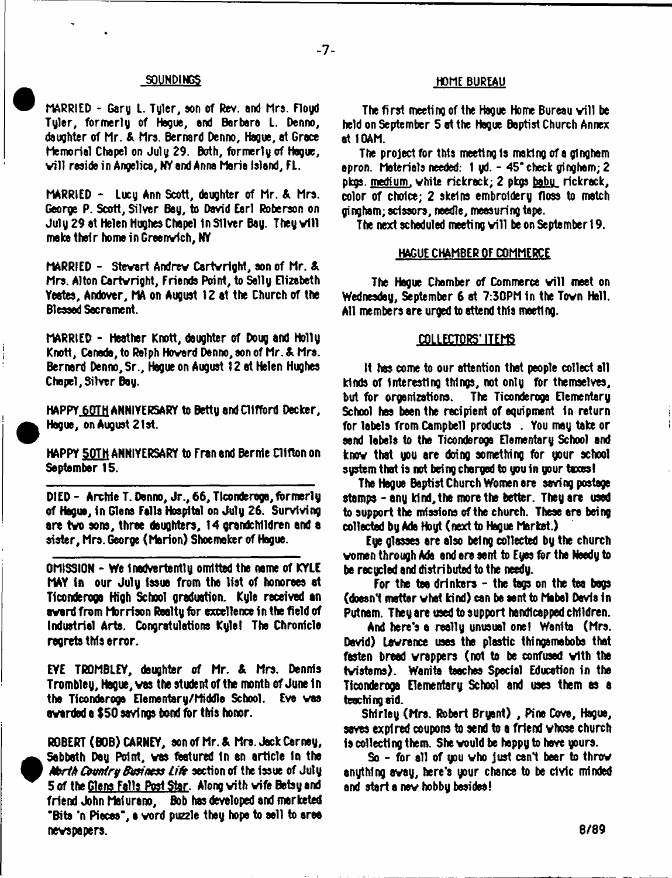MARRIED - Gary L. Tyler, eon of Rev. and hra. Floyd Tyler, formerly of Hegue, end Barbara L. Denno, daughter of Mr. & Mrs. Bernard Denno, Hague, at Grace Memorial Chapel on July 29. Both, formerly of Hogue, v ill reside in Angelica, NY and Anna Maria Island, FL.

MARRIED - Lucy Ann Scott, daughter of Mr. & Mrs. George P. Scott, Silver Bay, to David Earl Roberson on July 29 at Helen Hughes Chapel in Silver Bay. They will make their home in Greenvfch, NY

MARRIED - Stewart Andrew Cartwright, son of Mr. & Mrs. Alton Cartvright, Friends Point, to Sally Elizabeth Yeates, Andover, MA on August 12 at the Church of the Blessed Sacrament.

MARRIED - Heather Knott, daughter of Doug and Holly Knott, Canada, to Ralph Hovard Denno, son of Mr. & Mrs. Bernard Denno, Sr., Hague on August 12 at Helen Hughes Chapel,Silver Bay.

HAPPY 60TH ANNIVERSARY to Betty and Clifford Decker, Hague, on August 21st.

HAPPY 5QTH ANNIYERSARY to Fran and Bernie Clifton on September 15.

DIED - Archie T. Denno, Jr., 66, Ticonderoga, formerly of Hague, in Gians Falls Hospital on July 26. Surviving are tvo sons, three daughters, 14 grandchildren and a sister, Mrs. George (Marlon) Shoemaker of Hague.

OMISSION - We Inadvertantly omitted the name of KYLE MAY in our July issue from the list of honorees at Ticonderoga High School graduation. Kyle received an award from Morrison Realty for excellence in the field of Industrial Arts. Congratulations Kyle! The Chronicle regrets this error.

EVE TROMBLEY, deughter of Mr. & Mrs. Dennis Trombley, Hague, vas the student of the month of June 1 n tha Ticonderoga Elementary/Middle School. Eve vas awarded a \$50 savings bond for this honor.

ROBERT (BOB) CARNEY, eon of Mr.A Mrs. Jock Carney, Sabbath Day Point, was featured in an article in the *Abrth Country Business Life section of the issue of July* 5 of the Glens Falls Post Star. Along vith wife Betsy end friend John Malurano, Bob has developed and marketed "Bite 'n Pieces", a vord puzzle they hope to sell to area newspapers.

## SOUNDINGS HOME BUREAU

The first meeting of the Hague Home Bureau will be held on September 5 at the Hague Baptist Church Annex at 10AM.

The project for this meeting Is making of a gingham apron. Materials needed: 1 yd. - 45" check gingham; 2 pkgs. medium, white rickrack; 2 pkgs baby rickrack, color of choice; 2 skeins embroidery floss to match gingham; scissors, needle, measuring tape.

The next scheduled meeting will be on September 19.

#### HAGUE CHAMBER OF COMMERCE

The Hegue Chamber of Commerce will meet on Wednesday, September 6 at 7:30PM In the Tovn Hall. All members are urged to attend this meeting.

#### COLLECTORS' ITEMS

It has come to our attention that people collect all kinds of interesting things, not only for themselves, but for organizations. The Ticonderoga Elementary School has been the recipient of equipment in return for labels from Campbell products . You may take or send labels to tha Ticonderoga Elementary School end knov that you are doing something for your school system that is not being charged to you in your taxes!

The Hague Baptist Church Women are saving postage stamps-any kind, the more the better. They are used to support the missions of the church. These are being collected by Ade Hoyt (next to Hague Market.)

Eye glasses are also being collected by the church women through Ade and are sent to Eyes for the Needy to be recycled and distributed to the needy.

For the tea drinkers - the togs on the tea begs (doesn't matter vhet kind) can be sent to Mabel Davis In Putnam. They are used to support handicapped children.

And here's a really unusual one! Wanlto (Mrs. David) Lawrence uses the plastic thingsmebobs that fasten bread wrappers (not to be confused with the tvistems). Wenite teaches Special Education in the Ticonderoga Elementary School and uses them as a teaching aid.

Shirley (Mrs. Robert Bryant) , Pine Cove, Hague, saves expired coupons to send to a friend whose church Is collecting them. She vould be heppy to have yours.

So - for all of you vho just cant beer to throw anything avay, here's your chance to be civic minded and start a nev hobby besides!